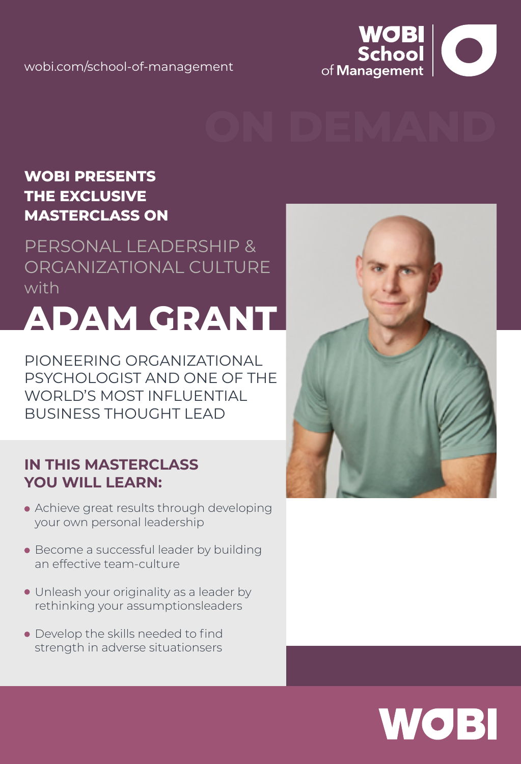

#### **WOBI PRESENTS THE EXCLUSIVE MASTERCLASS ON**

PERSONAL LEADERSHIP & ORGANIZATIONAL CULTURE with

# **ADAM GRANT**

PIONEERING ORGANIZATIONAL PSYCHOLOGIST AND ONE OF THE WORLD'S MOST INFLUENTIAL BUSINESS THOUGHT LEAD

#### **IN THIS MASTERCLASS YOU WILL LEARN:**

- Achieve great results through developing your own personal leadership
- Become a successful leader by building an effective team-culture
- Unleash your originality as a leader by rethinking your assumptionsleaders
- Develop the skills needed to find strength in adverse situationsers



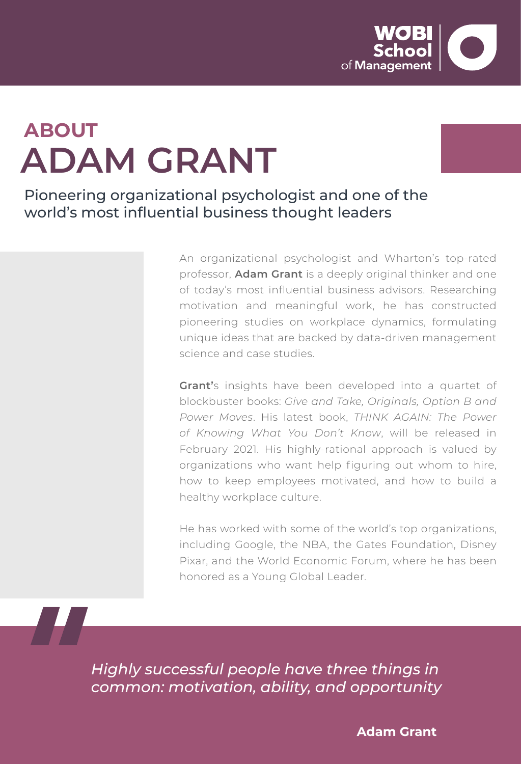

# **ABOUT ADAM GRANT**

Pioneering organizational psychologist and one of the world's most influential business thought leaders

> An organizational psychologist and Wharton's top-rated professor, **Adam Grant** is a deeply original thinker and one of today's most influential business advisors. Researching motivation and meaningful work, he has constructed pioneering studies on workplace dynamics, formulating unique ideas that are backed by data-driven management science and case studies.

> **Grant'**s insights have been developed into a quartet of blockbuster books: *Give and Take, Originals, Option B and Power Moves*. His latest book, *THINK AGAIN: The Power of Knowing What You Don't Know*, will be released in February 2021. His highly-rational approach is valued by organizations who want help figuring out whom to hire, how to keep employees motivated, and how to build a healthy workplace culture.

> He has worked with some of the world's top organizations, including Google, the NBA, the Gates Foundation, Disney Pixar, and the World Economic Forum, where he has been honored as a Young Global Leader.

*Highly successful people have three things in common: motivation, ability, and opportunity* 

**Adam Grant**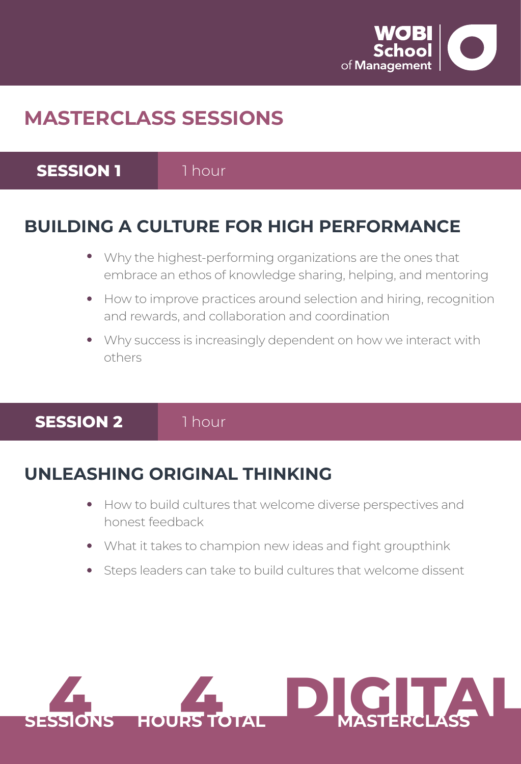

# **MASTERCLASS SESSIONS**

**SESSION 1**

1 hour

#### **BUILDING A CULTURE FOR HIGH PERFORMANCE**

- Why the highest-performing organizations are the ones that  $\bullet$ embrace an ethos of knowledge sharing, helping, and mentoring
- How to improve practices around selection and hiring, recognition and rewards, and collaboration and coordination
- Why success is increasingly dependent on how we interact with others

#### **SESSION 2**

1 hour

### **UNLEASHING ORIGINAL THINKING**

- How to build cultures that welcome diverse perspectives and  $\bullet$ honest feedback
- What it takes to champion new ideas and fight groupthink  $\bullet$
- Steps leaders can take to build cultures that welcome dissent

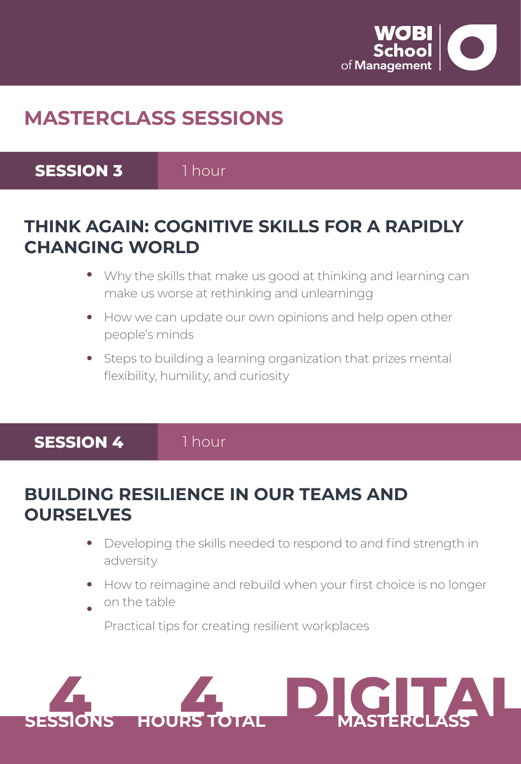

# **MASTERCLASS SESSIONS**

**SESSION 3**

1 hour

#### **THINK AGAIN: COGNITIVE SKILLS FOR A RAPIDLY CHANGING WORLD**

- Why the skills that make us good at thinking and learning can make us worse at rethinking and unlearningg
- How we can update our own opinions and help open other people's minds
- Steps to building a learning organization that prizes mental flexibility, humility, and curiosity

**SESSION 4**

1 hour

#### **BUILDING RESILIENCE IN OUR TEAMS AND OURSELVES**

- Developing the skills needed to respond to and find strength in adversity
- How to reimagine and rebuild when your first choice is no longer on the table

Practical tips for creating resilient workplaces